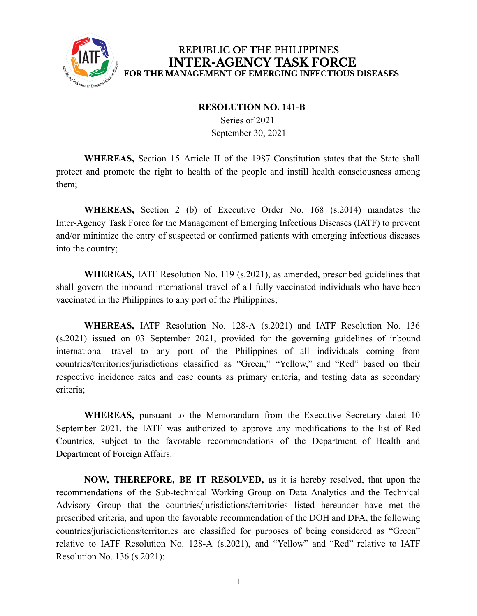

#### REPUBLIC OF THE PHILIPPINES **INTER-AGENCY TASK FORCE** FOR THE MANAGEMENT OF EMERGING INFECTIOUS DISEASES

#### **RESOLUTION NO. 141-B**

Series of 2021 September 30, 2021

**WHEREAS,** Section 15 Article II of the 1987 Constitution states that the State shall protect and promote the right to health of the people and instill health consciousness among them;

**WHEREAS,** Section 2 (b) of Executive Order No. 168 (s.2014) mandates the Inter-Agency Task Force for the Management of Emerging Infectious Diseases (IATF) to prevent and/or minimize the entry of suspected or confirmed patients with emerging infectious diseases into the country;

**WHEREAS,** IATF Resolution No. 119 (s.2021), as amended, prescribed guidelines that shall govern the inbound international travel of all fully vaccinated individuals who have been vaccinated in the Philippines to any port of the Philippines;

**WHEREAS,** IATF Resolution No. 128-A (s.2021) and IATF Resolution No. 136 (s.2021) issued on 03 September 2021, provided for the governing guidelines of inbound international travel to any port of the Philippines of all individuals coming from countries/territories/jurisdictions classified as "Green," "Yellow," and "Red" based on their respective incidence rates and case counts as primary criteria, and testing data as secondary criteria;

**WHEREAS,** pursuant to the Memorandum from the Executive Secretary dated 10 September 2021, the IATF was authorized to approve any modifications to the list of Red Countries, subject to the favorable recommendations of the Department of Health and Department of Foreign Affairs.

**NOW, THEREFORE, BE IT RESOLVED,** as it is hereby resolved, that upon the recommendations of the Sub-technical Working Group on Data Analytics and the Technical Advisory Group that the countries/jurisdictions/territories listed hereunder have met the prescribed criteria, and upon the favorable recommendation of the DOH and DFA, the following countries/jurisdictions/territories are classified for purposes of being considered as "Green" relative to IATF Resolution No. 128-A (s.2021), and "Yellow" and "Red" relative to IATF Resolution No. 136 (s.2021):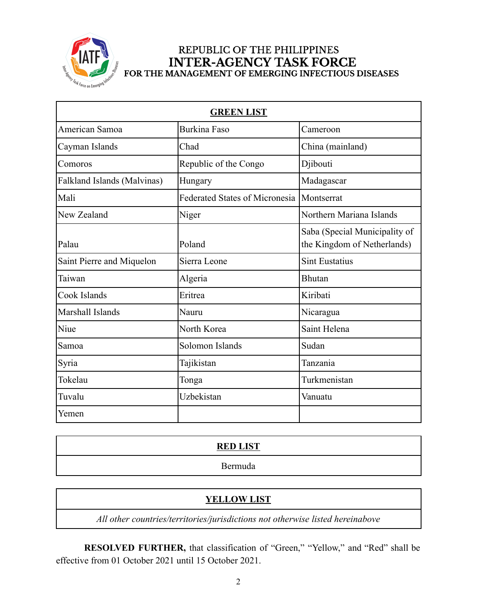

# REPUBLIC OF THE PHILIPPINES INTER-AGENCY TASK FORCE<br>FOR THE MANAGEMENT OF EMERGING INFECTIOUS DISEASES

| <b>GREEN LIST</b>           |                                       |                                                              |  |
|-----------------------------|---------------------------------------|--------------------------------------------------------------|--|
| American Samoa              | <b>Burkina Faso</b>                   | Cameroon                                                     |  |
| Cayman Islands              | Chad                                  | China (mainland)                                             |  |
| Comoros                     | Republic of the Congo                 | Djibouti                                                     |  |
| Falkland Islands (Malvinas) | Hungary                               | Madagascar                                                   |  |
| Mali                        | <b>Federated States of Micronesia</b> | Montserrat                                                   |  |
| New Zealand                 | Niger                                 | Northern Mariana Islands                                     |  |
| Palau                       | Poland                                | Saba (Special Municipality of<br>the Kingdom of Netherlands) |  |
| Saint Pierre and Miquelon   | Sierra Leone                          | <b>Sint Eustatius</b>                                        |  |
| Taiwan                      | Algeria                               | <b>Bhutan</b>                                                |  |
| Cook Islands                | Eritrea                               | Kiribati                                                     |  |
| Marshall Islands            | Nauru                                 | Nicaragua                                                    |  |
| Niue                        | North Korea                           | Saint Helena                                                 |  |
| Samoa                       | Solomon Islands                       | Sudan                                                        |  |
| Syria                       | Tajikistan                            | Tanzania                                                     |  |
| Tokelau                     | Tonga                                 | Turkmenistan                                                 |  |
| Tuvalu                      | Uzbekistan                            | Vanuatu                                                      |  |
| Yemen                       |                                       |                                                              |  |

| <b>RED LIST</b>              |  |
|------------------------------|--|
| $I$ $\Delta$ rressort<br>.ua |  |

# **YELLOW LIST**

*All other countries/territories/jurisdictions not otherwise listed hereinabove*

**RESOLVED FURTHER,** that classification of "Green," "Yellow," and "Red" shall be effective from 01 October 2021 until 15 October 2021.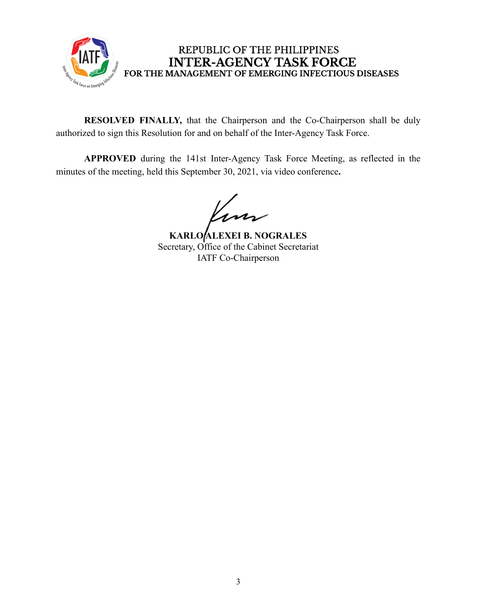

### REPUBLIC OF THE PHILIPPINES **INTER-AGENCY TASK FORCE** FOR THE MANAGEMENT OF EMERGING INFECTIOUS DISEASES

**RESOLVED FINALLY,** that the Chairperson and the Co-Chairperson shall be duly authorized to sign this Resolution for and on behalf of the Inter-Agency Task Force.

**APPROVED** during the 141st Inter-Agency Task Force Meeting, as reflected in the minutes of the meeting, held this September 30, 2021, via video conference**.**

lim

**KARLO ALEXEI B. NOGRALES** Secretary, Office of the Cabinet Secretariat IATF Co-Chairperson